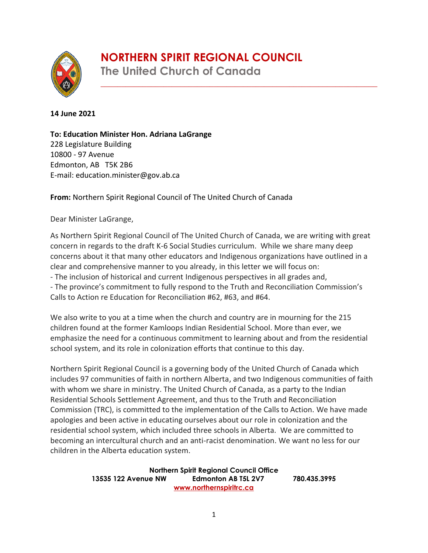# **NORTHERN SPIRIT REGIONAL COUNCIL**

\_\_\_\_\_\_\_\_\_\_\_\_\_\_\_\_\_\_\_\_\_\_\_\_\_\_\_\_\_\_\_\_\_\_\_\_\_\_\_\_\_\_\_\_\_\_\_\_\_\_\_\_\_\_\_\_\_\_\_\_\_\_\_\_\_\_



**The United Church of Canada**

#### **14 June 2021**

**To: Education Minister Hon. Adriana LaGrange**  228 Legislature Building 10800 - 97 Avenue Edmonton, AB T5K 2B6 E-mail: [education.minister@gov.ab.ca](mailto:education.minister@gov.ab.ca)

**From:** Northern Spirit Regional Council of The United Church of Canada

Dear Minister LaGrange,

As Northern Spirit Regional Council of The United Church of Canada, we are writing with great concern in regards to the draft K-6 Social Studies curriculum. While we share many deep concerns about it that many other educators and Indigenous organizations have outlined in a clear and comprehensive manner to you already, in this letter we will focus on: - The inclusion of historical and current Indigenous perspectives in all grades and,

- The province's commitment to fully respond to the Truth and Reconciliation Commission's Calls to Action re Education for Reconciliation #62, #63, and #64.

We also write to you at a time when the church and country are in mourning for the 215 children found at the former Kamloops Indian Residential School. More than ever, we emphasize the need for a continuous commitment to learning about and from the residential school system, and its role in colonization efforts that continue to this day.

Northern Spirit Regional Council is a governing body of the United Church of Canada which includes 97 communities of faith in northern Alberta, and two Indigenous communities of faith with whom we share in ministry. The United Church of Canada, as a party to the Indian Residential Schools Settlement Agreement, and thus to the Truth and Reconciliation Commission (TRC), is committed to the implementation of the Calls to Action. We have made apologies and been active in educating ourselves about our role in colonization and the residential school system, which included three schools in Alberta. We are committed to becoming an intercultural church and an anti-racist denomination. We want no less for our children in the Alberta education system.

> **Northern Spirit Regional Council Office 13535 122 Avenue NW Edmonton AB T5L 2V7 780.435.3995 [www.northernspiritrc.ca](http://www.northernspiritrc.ca/)**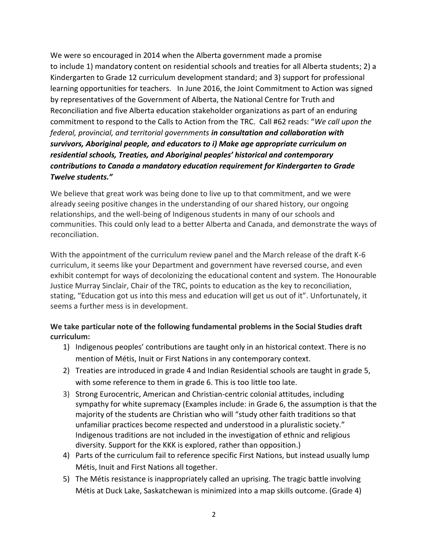We were so encouraged in 2014 when the Alberta government made a promise to include 1) mandatory content on residential schools and treaties for all Alberta students; 2) a Kindergarten to Grade 12 curriculum development standard; and 3) support for professional learning opportunities for teachers. In June 2016, the Joint Commitment to Action was signed by representatives of the Government of Alberta, the National Centre for Truth and Reconciliation and five Alberta education stakeholder organizations as part of an enduring commitment to respond to the Calls to Action from the TRC. Call #62 reads: "*We call upon the federal, provincial, and territorial governments in consultation and collaboration with survivors, Aboriginal people, and educators to i) Make age appropriate curriculum on residential schools, Treaties, and Aboriginal peoples' historical and contemporary contributions to Canada a mandatory education requirement for Kindergarten to Grade Twelve students."*

We believe that great work was being done to live up to that commitment, and we were already seeing positive changes in the understanding of our shared history, our ongoing relationships, and the well-being of Indigenous students in many of our schools and communities. This could only lead to a better Alberta and Canada, and demonstrate the ways of reconciliation.

With the appointment of the curriculum review panel and the March release of the draft K-6 curriculum, it seems like your Department and government have reversed course, and even exhibit contempt for ways of decolonizing the educational content and system. The Honourable Justice Murray Sinclair, Chair of the TRC, points to education as the key to reconciliation, stating, "Education got us into this mess and education will get us out of it". Unfortunately, it seems a further mess is in development.

### **We take particular note of the following fundamental problems in the Social Studies draft curriculum:**

- 1) Indigenous peoples' contributions are taught only in an historical context. There is no mention of Métis, Inuit or First Nations in any contemporary context.
- 2) Treaties are introduced in grade 4 and Indian Residential schools are taught in grade 5, with some reference to them in grade 6. This is too little too late.
- 3) Strong Eurocentric, American and Christian-centric colonial attitudes, including sympathy for white supremacy (Examples include: in Grade 6, the assumption is that the majority of the students are Christian who will "study other faith traditions so that unfamiliar practices become respected and understood in a pluralistic society." Indigenous traditions are not included in the investigation of ethnic and religious diversity. Support for the KKK is explored, rather than opposition.)
- 4) Parts of the curriculum fail to reference specific First Nations, but instead usually lump Métis, Inuit and First Nations all together.
- 5) The Métis resistance is inappropriately called an uprising. The tragic battle involving Métis at Duck Lake, Saskatchewan is minimized into a map skills outcome. (Grade 4)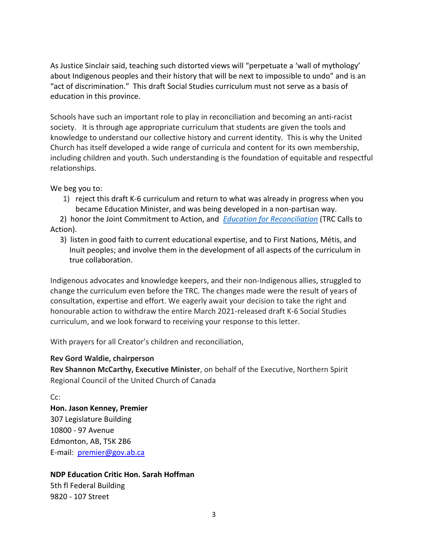As Justice Sinclair said, teaching such distorted views will "perpetuate a 'wall of mythology' about Indigenous peoples and their history that will be next to impossible to undo" and is an "act of discrimination." This draft Social Studies curriculum must not serve as a basis of education in this province.

Schools have such an important role to play in reconciliation and becoming an anti-racist society. It is through age appropriate curriculum that students are given the tools and knowledge to understand our collective history and current identity. This is why the United Church has itself developed a wide range of curricula and content for its own membership, including children and youth. Such understanding is the foundation of equitable and respectful relationships.

We beg you to:

1) reject this draft K-6 curriculum and return to what was already in progress when you became Education Minister, and was being developed in a non-partisan way.

 2) honor the Joint Commitment to Action, and *[Education for Reconciliation](https://www.alberta.ca/education-for-reconciliation.aspx)* (TRC Calls to Action).

 3) listen in good faith to current educational expertise, and to First Nations, Métis, and Inuit peoples; and involve them in the development of all aspects of the curriculum in true collaboration.

Indigenous advocates and knowledge keepers, and their non-Indigenous allies, struggled to change the curriculum even before the TRC. The changes made were the result of years of consultation, expertise and effort. We eagerly await your decision to take the right and honourable action to withdraw the entire March 2021-released draft K-6 Social Studies curriculum, and we look forward to receiving your response to this letter.

With prayers for all Creator's children and reconciliation,

#### **Rev Gord Waldie, chairperson**

**Rev Shannon McCarthy, Executive Minister**, on behalf of the Executive, Northern Spirit Regional Council of the United Church of Canada

Cc:

**Hon. Jason Kenney, Premier** 307 Legislature Building 10800 - 97 Avenue Edmonton, AB, T5K 2B6 E-mail: [premier@gov.ab.ca](mailto:premier@gov.ab.ca)

## **NDP Education Critic Hon. Sarah Hoffman**

5th fl Federal Building 9820 - 107 Street